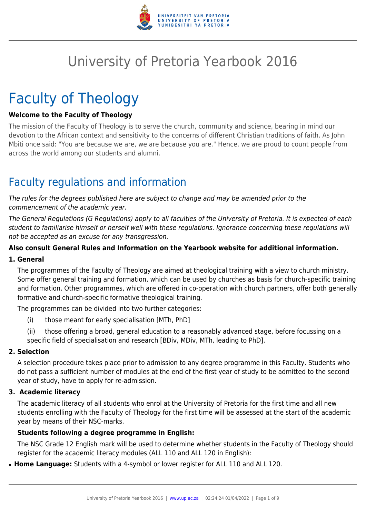

# University of Pretoria Yearbook 2016

# Faculty of Theology

#### **Welcome to the Faculty of Theology**

The mission of the Faculty of Theology is to serve the church, community and science, bearing in mind our devotion to the African context and sensitivity to the concerns of different Christian traditions of faith. As John Mbiti once said: "You are because we are, we are because you are." Hence, we are proud to count people from across the world among our students and alumni.

# Faculty regulations and information

The rules for the degrees published here are subject to change and may be amended prior to the commencement of the academic year.

The General Regulations (G Regulations) apply to all faculties of the University of Pretoria. It is expected of each student to familiarise himself or herself well with these regulations. Ignorance concerning these regulations will not be accepted as an excuse for any transgression.

#### **Also consult General Rules and Information on the Yearbook website for additional information.**

#### **1. General**

The programmes of the Faculty of Theology are aimed at theological training with a view to church ministry. Some offer general training and formation, which can be used by churches as basis for church-specific training and formation. Other programmes, which are offered in co-operation with church partners, offer both generally formative and church-specific formative theological training.

The programmes can be divided into two further categories:

- (i) those meant for early specialisation [MTh, PhD]
- (ii) those offering a broad, general education to a reasonably advanced stage, before focussing on a specific field of specialisation and research [BDiv, MDiv, MTh, leading to PhD].

#### **2. Selection**

A selection procedure takes place prior to admission to any degree programme in this Faculty. Students who do not pass a sufficient number of modules at the end of the first year of study to be admitted to the second year of study, have to apply for re-admission.

#### **3. Academic literacy**

The academic literacy of all students who enrol at the University of Pretoria for the first time and all new students enrolling with the Faculty of Theology for the first time will be assessed at the start of the academic year by means of their NSC-marks.

#### **Students following a degree programme in English:**

The NSC Grade 12 English mark will be used to determine whether students in the Faculty of Theology should register for the academic literacy modules (ALL 110 and ALL 120 in English):

• Home Language: Students with a 4-symbol or lower register for ALL 110 and ALL 120.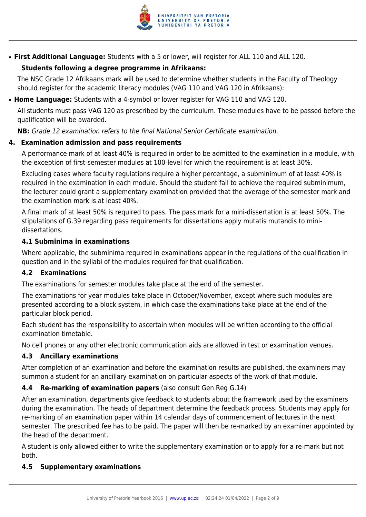

● **First Additional Language:** Students with a 5 or lower, will register for ALL 110 and ALL 120.

#### **Students following a degree programme in Afrikaans:**

The NSC Grade 12 Afrikaans mark will be used to determine whether students in the Faculty of Theology should register for the academic literacy modules (VAG 110 and VAG 120 in Afrikaans):

● **Home Language:** Students with a 4-symbol or lower register for VAG 110 and VAG 120.

All students must pass VAG 120 as prescribed by the curriculum. These modules have to be passed before the qualification will be awarded.

**NB:** Grade 12 examination refers to the final National Senior Certificate examination.

#### **4. Examination admission and pass requirements**

A performance mark of at least 40% is required in order to be admitted to the examination in a module, with the exception of first-semester modules at 100-level for which the requirement is at least 30%.

Excluding cases where faculty regulations require a higher percentage, a subminimum of at least 40% is required in the examination in each module. Should the student fail to achieve the required subminimum, the lecturer could grant a supplementary examination provided that the average of the semester mark and the examination mark is at least 40%.

A final mark of at least 50% is required to pass. The pass mark for a mini-dissertation is at least 50%. The stipulations of G.39 regarding pass requirements for dissertations apply mutatis mutandis to minidissertations.

#### **4.1 Subminima in examinations**

Where applicable, the subminima required in examinations appear in the regulations of the qualification in question and in the syllabi of the modules required for that qualification.

#### **4.2 Examinations**

The examinations for semester modules take place at the end of the semester.

The examinations for year modules take place in October/November, except where such modules are presented according to a block system, in which case the examinations take place at the end of the particular block period.

Each student has the responsibility to ascertain when modules will be written according to the official examination timetable.

No cell phones or any other electronic communication aids are allowed in test or examination venues.

#### **4.3 Ancillary examinations**

After completion of an examination and before the examination results are published, the examiners may summon a student for an ancillary examination on particular aspects of the work of that module.

#### **4.4 Re-marking of examination papers** (also consult Gen Reg G.14)

After an examination, departments give feedback to students about the framework used by the examiners during the examination. The heads of department determine the feedback process. Students may apply for re-marking of an examination paper within 14 calendar days of commencement of lectures in the next semester. The prescribed fee has to be paid. The paper will then be re-marked by an examiner appointed by the head of the department.

A student is only allowed either to write the supplementary examination or to apply for a re-mark but not both.

#### **4.5 Supplementary examinations**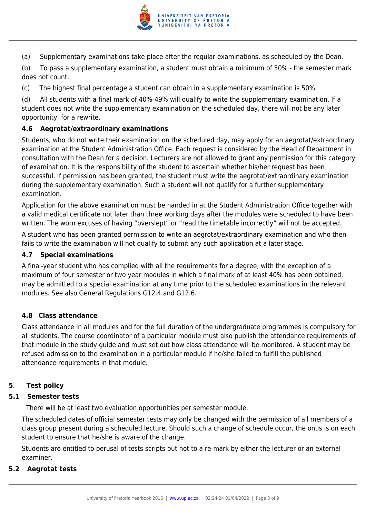

(a) Supplementary examinations take place after the regular examinations, as scheduled by the Dean.

(b) To pass a supplementary examination, a student must obtain a minimum of 50% - the semester mark does not count.

(c) The highest final percentage a student can obtain in a supplementary examination is 50%.

(d) All students with a final mark of 40%-49% will qualify to write the supplementary examination. If a student does not write the supplementary examination on the scheduled day, there will not be any later opportunity for a rewrite.

#### **4.6 Aegrotat/extraordinary examinations**

Students, who do not write their examination on the scheduled day, may apply for an aegrotat/extraordinary examination at the Student Administration Office. Each request is considered by the Head of Department in consultation with the Dean for a decision. Lecturers are not allowed to grant any permission for this category of examination. It is the responsibility of the student to ascertain whether his/her request has been successful. If permission has been granted, the student must write the aegrotat/extraordinary examination during the supplementary examination. Such a student will not qualify for a further supplementary examination.

Application for the above examination must be handed in at the Student Administration Office together with a valid medical certificate not later than three working days after the modules were scheduled to have been written. The worn excuses of having "overslept" or "read the timetable incorrectly" will not be accepted.

A student who has been granted permission to write an aegrotat/extraordinary examination and who then fails to write the examination will not qualify to submit any such application at a later stage.

#### **4.7 Special examinations**

A final-year student who has complied with all the requirements for a degree, with the exception of a maximum of four semester or two year modules in which a final mark of at least 40% has been obtained, may be admitted to a special examination at any time prior to the scheduled examinations in the relevant modules. See also General Regulations G12.4 and G12.6.

#### **4.8 Class attendance**

Class attendance in all modules and for the full duration of the undergraduate programmes is compulsory for all students. The course coordinator of a particular module must also publish the attendance requirements of that module in the study guide and must set out how class attendance will be monitored. A student may be refused admission to the examination in a particular module if he/she failed to fulfill the published attendance requirements in that module.

#### **5**. **Test policy**

#### **5.1 Semester tests**

There will be at least two evaluation opportunities per semester module.

The scheduled dates of official semester tests may only be changed with the permission of all members of a class group present during a scheduled lecture. Should such a change of schedule occur, the onus is on each student to ensure that he/she is aware of the change.

Students are entitled to perusal of tests scripts but not to a re-mark by either the lecturer or an external examiner.

#### **5.2 Aegrotat tests**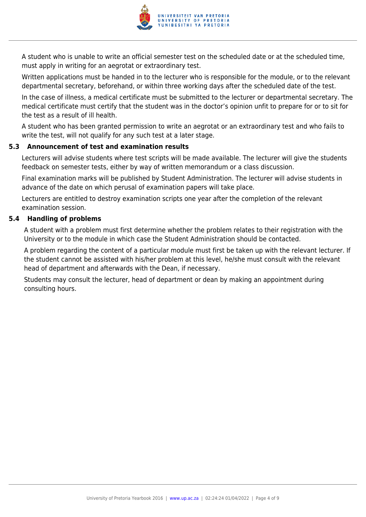

A student who is unable to write an official semester test on the scheduled date or at the scheduled time, must apply in writing for an aegrotat or extraordinary test.

Written applications must be handed in to the lecturer who is responsible for the module, or to the relevant departmental secretary, beforehand, or within three working days after the scheduled date of the test.

In the case of illness, a medical certificate must be submitted to the lecturer or departmental secretary. The medical certificate must certify that the student was in the doctor's opinion unfit to prepare for or to sit for the test as a result of ill health.

A student who has been granted permission to write an aegrotat or an extraordinary test and who fails to write the test, will not qualify for any such test at a later stage.

#### **5.3 Announcement of test and examination results**

Lecturers will advise students where test scripts will be made available. The lecturer will give the students feedback on semester tests, either by way of written memorandum or a class discussion.

Final examination marks will be published by Student Administration. The lecturer will advise students in advance of the date on which perusal of examination papers will take place.

Lecturers are entitled to destroy examination scripts one year after the completion of the relevant examination session.

#### **5.4 Handling of problems**

A student with a problem must first determine whether the problem relates to their registration with the University or to the module in which case the Student Administration should be contacted.

A problem regarding the content of a particular module must first be taken up with the relevant lecturer. If the student cannot be assisted with his/her problem at this level, he/she must consult with the relevant head of department and afterwards with the Dean, if necessary.

Students may consult the lecturer, head of department or dean by making an appointment during consulting hours.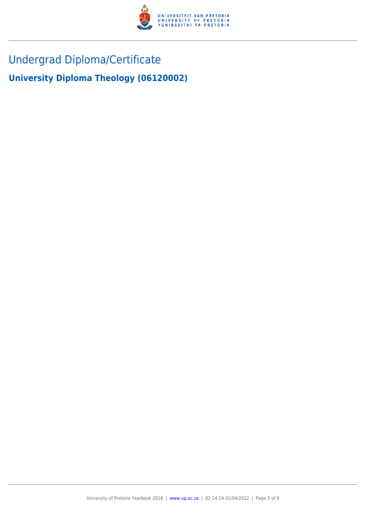

# Undergrad Diploma/Certificate

**University Diploma Theology (06120002)**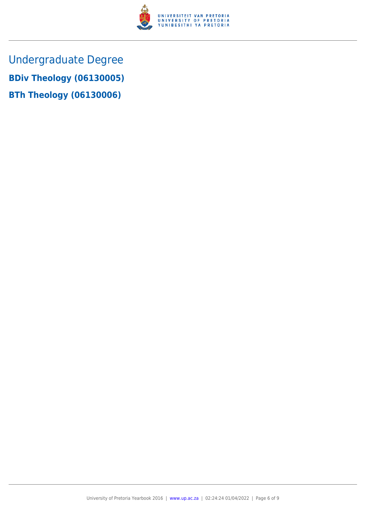

Undergraduate Degree **BDiv Theology (06130005) BTh Theology (06130006)**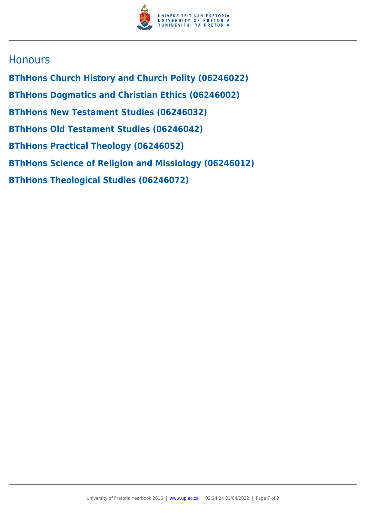

### **Honours**

**BThHons Church History and Church Polity (06246022) BThHons Dogmatics and Christian Ethics (06246002) BThHons New Testament Studies (06246032) BThHons Old Testament Studies (06246042) BThHons Practical Theology (06246052) BThHons Science of Religion and Missiology (06246012) BThHons Theological Studies (06246072)**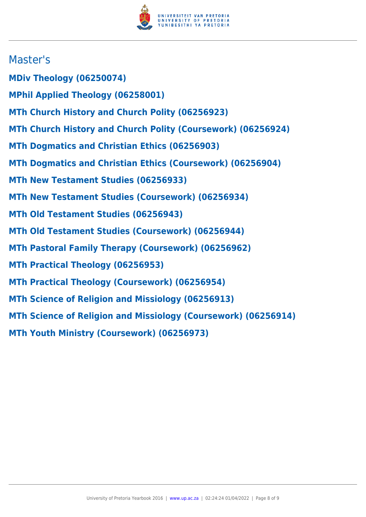

## Master's

- **MDiv Theology (06250074)**
- **MPhil Applied Theology (06258001)**
- **MTh Church History and Church Polity (06256923)**
- **MTh Church History and Church Polity (Coursework) (06256924)**
- **MTh Dogmatics and Christian Ethics (06256903)**
- **MTh Dogmatics and Christian Ethics (Coursework) (06256904)**
- **MTh New Testament Studies (06256933)**
- **MTh New Testament Studies (Coursework) (06256934)**
- **MTh Old Testament Studies (06256943)**
- **MTh Old Testament Studies (Coursework) (06256944)**
- **MTh Pastoral Family Therapy (Coursework) (06256962)**
- **MTh Practical Theology (06256953)**
- **MTh Practical Theology (Coursework) (06256954)**
- **MTh Science of Religion and Missiology (06256913)**
- **MTh Science of Religion and Missiology (Coursework) (06256914)**
- **MTh Youth Ministry (Coursework) (06256973)**